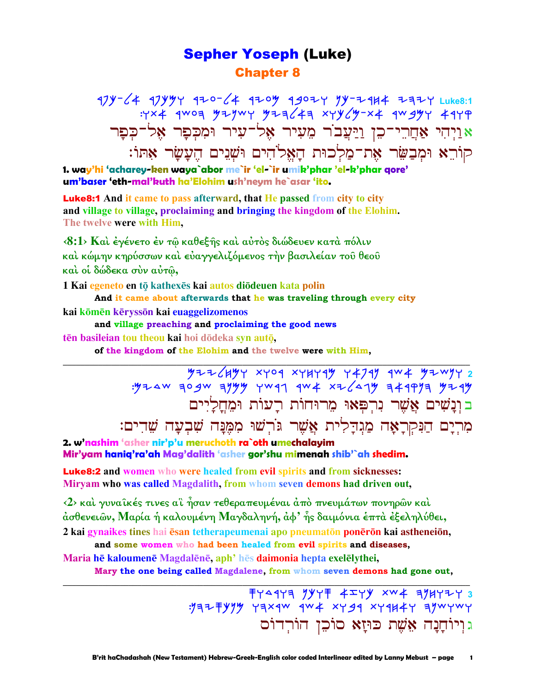### Sepher Yoseph (Luke) Chapter 8

47Y-64 47YYY 4ZO-64 4ZOY 4*9*OZY 9Y-Z4H4 ZAZY Luke8:1  $:Y\times Y$  aroa yiywy yiq $\angle 4$ a xyy $\angle y$ -x4 argyy 41 p  $\bm{s}$ יַיְהִי אַחֲרֵי־כֵן וַיַּעֲבֹר מֵעִיר אֵל־עִיר וּמִכִּפַר אֵל־כִּפַר קוֹרֵא וּמִבַשֵּׂר אֶת־מַלְכוּת הַאֱלֹהִים וּשָׁנֵים הֵעֲשַׂר אָתּוֹ:

**1. way'hi 'acharey-ken waya`abor me`ir 'el-`ir umik'phar 'el-k'phar qore' um'baser 'eth-mal'kuth ha'Elohim ush'neym he`asar 'ito.**

Luke8:1 **And it came to pass afterward, that He passed from city to city and village to village, proclaiming and bringing the kingdom of the Elohim. The twelve were with Him,** 

**‹8:1› Καὶ ἐγένετο ἐν τῷ καθεξῆς καὶ αὐτὸς διώδευεν κατὰ πόλιν καὶ κώµην κηρύσσων καὶ εὐαγγελιζόµενος τὴν βασιλείαν τοῦ θεοῦ καὶ οἱ δώδεκα σὺν αὐτῷ,** 

**1 Kai egeneto en tō kathexēs kai autos diōdeuen kata polin** 

**And it came about afterwards that he was traveling through every city kai kōmēn kēryssōn kai euaggelizomenos** 

**and village preaching and proclaiming the good news**

**tēn basileian tou theou kai hoi dōdeka syn autō,** 

**of the kingdom of the Elohim and the twelve were with Him,** 

**\_\_\_\_\_\_\_\_\_\_\_\_\_\_\_\_\_\_\_\_\_\_\_\_\_\_\_\_\_\_\_\_\_\_\_\_\_\_\_\_\_\_\_\_\_\_\_\_\_\_\_\_\_\_\_\_\_\_\_\_\_\_\_\_\_\_\_\_\_\_\_\_\_\_\_\_\_\_\_\_\_\_\_\_\_\_\_\_\_\_\_\_\_** <u>5 ያሁን አምን አምን ከአምክ ተመ</u>መረቱ የተማማ የሚገኘው የተማማሪ  $\mathcal{M}$  and  $\mathcal{M}$  and  $\mathcal{M}$  and  $\mathcal{M}$  and  $\mathcal{M}$  and  $\mathcal{M}$  and  $\mathcal{M}$ ב וְנָשִׁים אֲשֶׁר נִרְפָּאוּ מֵרוּחוֹת רַעוֹת וּמֵחַלַיִים מִרִיָם הַנִּקְרָאָה מַגִּדַלִית אֲשֶׁר גֹּרִשׁוּ מִמֵּנָּה שִׁבְעָה שֵׁדִים:

**2. w'nashim 'asher nir'p'u meruchoth ra`oth umechalayim Mir'yam haniq'ra'ah Mag'dalith 'asher gor'shu mimenah shib'`ah shedim.**

Luke8:2 **and women who were healed from evil spirits and from sicknesses: Miryam who was called Magdalith, from whom seven demons had driven out,** 

**‹2› καὶ γυναῖκές τινες αἳ ἦσαν τεθεραπευµέναι ἀπὸ πνευµάτων πονηρῶν καὶ ἀσθενειῶν, Μαρία ἡ καλουµένη Μαγδαληνή, ἀφ' ἧς δαιµόνια ἑπτὰ ἐξεληλύθει,**

**2 kai gynaikes tines hai ēsan tetherapeumenai apo pneumatōn ponērōn kai astheneiōn, and some women who had been healed from evil spirits and diseases,**

**Maria** he kaloumene Magdalene, aph<sup>*i*</sup> hes daimonia hepta exeleiythei,

**Mary the one being called Magdalene, from whom seven demons had gone out, \_\_\_\_\_\_\_\_\_\_\_\_\_\_\_\_\_\_\_\_\_\_\_\_\_\_\_\_\_\_\_\_\_\_\_\_\_\_\_\_\_\_\_\_\_\_\_\_\_\_\_\_\_\_\_\_\_\_\_\_\_\_\_\_\_\_\_\_\_\_\_\_\_\_\_\_\_\_\_\_\_\_\_\_\_\_\_\_\_\_\_\_\_**

 swdrwh nkws azwk tca hnjwyw **3**  : yaz = yyy yax qw qw + xy gq xy qu + xy qywywy ג וִיוֹחֲנַה אֶשֶׁת כּוּיַא סוֹכֵן הוֹרִדוֹס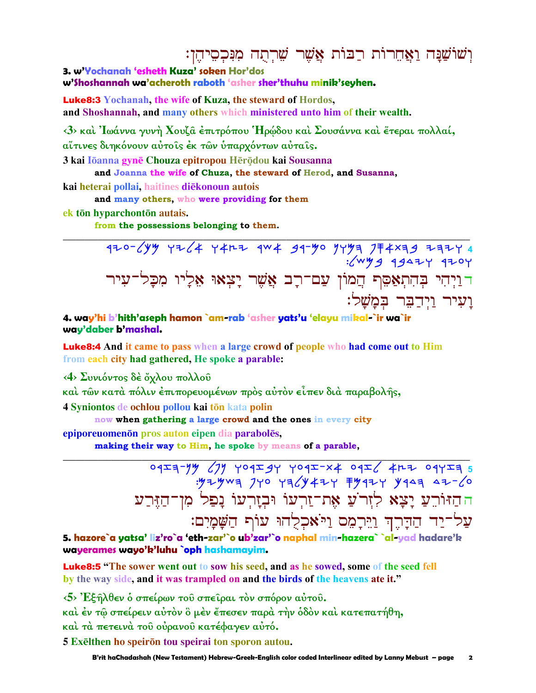### וְשׁוֹשֲנַה וַאֲחֵרוֹת רַבּוֹת אֲשֶׁר שֵׁרְתֻה מִנִּכְסֵיהֶן:

3. w'Yochanah 'esheth Kuza' soken Hor'dos

w'Shoshannah wa'acheroth raboth 'asher sher'thuhu minik'seyhen.

**Luke8:3** Yochanah, the wife of Kuza, the steward of Hordos, and Shoshannah, and many others which ministered unto him of their wealth.

<3> και Ιωάννα γυνή Χουζα έπιτρόπου Ηρώδου και Σουσάννα και έτεραι πολλαί, αΐτινες διηκόνουν αύτοις έκ των ύπαρχόντων αύταις.

3 kai Iōanna gynē Chouza epitropou Hērōdou kai Sousanna

and Joanna the wife of Chuza, the steward of Herod, and Susanna,

kai heterai pollai, haitines diekonoun autois

and many others, who were providing for them

ek tōn hyparchontōn autais.

from the possessions belonging to them.

470-64 7745 7799 1940 94-94 444 7746 7746 1946-044<br>4040 4424 9446: דַיְדְרִי בְּהִתְאַפֵּף הֲמוֹן עַם־רָב אֲשֶׁר יַצְאוּ אֵלַיו מִכַּל־עיר ועיר וידבר במשל:

4. way'hi b'hith'aseph hamon `am-rab 'asher yats'u 'elayu mikal-`ir wa`ir way'daber b'mashal.

**Luke8:4** And it came to pass when a large crowd of people who had come out to Him from each city had gathered, He spoke a parable:

<4> Συνιόντος δέ ὄχλου πολλοῦ

καὶ τῶν κατὰ πόλιν ἐπιπορευομένων πρὸς αὐτὸν εἶπεν διὰ παραβολῆς,

4 Syniontos de ochlou pollou kai tōn kata polin

now when gathering a large crowd and the ones in every city

epiporeuomenon pros auton eipen dia paraboles,

making their way to Him, he spoke by means of a parable,

04<del>24</del>-49 (7) YO429Y YO42-X4 O426 4R7 O4Y24 5 ה הַזּוֹרֵעַ יָצָא לְזִר´עַ אֶת־זַרְעוֹ וּבְזָרְעוֹ נָפַל מִן־הַזֵּרְע עֲל־יַד הַדָּרֶךְ וַיֵּרָמֶם וַיֹּאמִכְלָהוּ עוֹף הַשַּׁמַיִם:

5. hazore`a yatsa' liz'ro`a 'eth-zar'`o ub'zar'`o naphal min-hazera` `al-yad hadare'k wayerames wayo'k'luhu `oph hashamayim.

**Luke8:5** "The sower went out to sow his seed, and as he sowed, some of the seed fell by the way side, and it was trampled on and the birds of the heavens ate it."

<5> Έξηλθεν ο σπείρων του σπείραι τον σπόρον αύτου.

καὶ ἐν τῷ σπείρειν αὐτὸν ὃ μὲν ἔπεσεν παρὰ τὴν ὁδὸν καὶ κατεπατήθη,

καί τά πετεινά του ούρανου κατέφαγεν αύτό.

5 Exelthen ho speiron tou speiral ton sporon autou.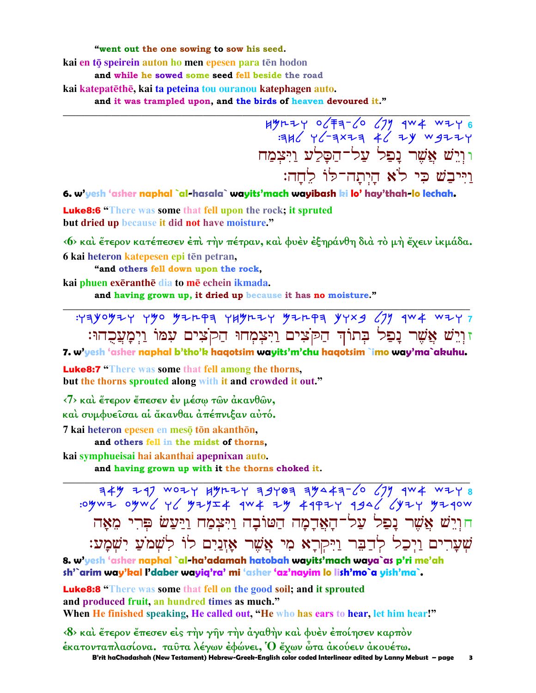"went out the one sowing to sow his seed.

kai en tō speirein auton ho men epesen para tēn hodon

and while he sowed some seed fell beside the road

kai katepatēthē, kai ta peteina tou ouranou katephagen auto.

and it was trampled upon, and the birds of heaven devoured it."

וּוְיֵשׁ אֲשֶׁר נַפְל עַל־הַסֲלַע וַיִּצְמַח וַיִּיבַשׁ כִּי לֹא הַיְתַה־לּוֹ לחה:

6. w'yesh 'asher naphal `al-hasala` wayits'mach wayibash ki lo' hay'thah-lo lechah.

**Luke8:6** "There was some that fell upon the rock; it spruted but dried up because it did not have moisture."

«6» και έτερον κατέπεσεν έπι την πέτραν, και φυέν έξηράνθη δια το μη έχειν ικμάδα. 6 kai heteron katepesen epi tēn petran,

"and others fell down upon the rock,

kai phuen exeranthe dia to me echein ikmada.

and having grown up, it dried up because it has no moisture."

זוְיֵשׁ אֲשֶׁר נַפַל בְּתוֹדְ הַקֹּצִים וַיִּצְמָחוּ הַקֹצִים עִמּוֹ וַיִּמַעֲכְהוּ:

7. w'yesh 'asher naphal b'tho'k haqotsim wayits'm'chu haqotsim `imo way'ma`akuhu.

**Luke8:7** "There was some that fell among the thorns, but the thorns sprouted along with it and crowded it out."

 $\langle 7 \rangle$  και έτερον έπεσεν έν μέσω των άκανθων,

καί συμφυείσαι αί άκανθαι απέπνιξαν αύτό.

7 kai heteron epesen en mesō tōn akanthōn,

and others fell in the midst of thorns.

kai symphueisai hai akanthai apepnixan auto.

and having grown up with it the thorns choked it.

 $\frac{144}{100}$  747 WOZY HYRZY 79787 79447-6 (7) 1944 WZY 8 חוִיֵשׁ אֲשֶׁר נָפַל עַל־הָאֲדָמָה הַטּוֹבָה וַיִּצְמַח וַיַּעַשׂ פִּרִי מֵאָה שְׁעָרִים וַיְכַל לְדַבֵּר וַיִּקְרָא מִי אֲשֶׁר אַזְנַיִם לוֹ לִשְׁמֹעַ יִשְׁמַע:

8. w'yesh 'asher naphal `al-ha'adamah hatobah wayits'mach waya`as p'ri me'ah sh'`arim way'kal l'daber wayiq'ra' mi 'asher 'az'nayim lo lish'mo`a yish'ma`.

**Luke8:8 "There was some that fell on the good soil; and it sprouted** and produced fruit, an hundred times as much." When He finished speaking, He called out, "He who has ears to hear, let him hear!"

 $\langle 8 \rangle$  και έτερον έπεσεν είς την γην την άγαθην και φυέν έποίησεν καρπον έκατονταπλασίονα. ταύτα λέγων έφώνει, Ο έχων ώτα ακούειν ακουέτω. B'rit haChadashah (New Testament) Hebrew-Greek-English color coded Interlinear edited by Lanny Mebust – page  $\overline{\mathbf{3}}$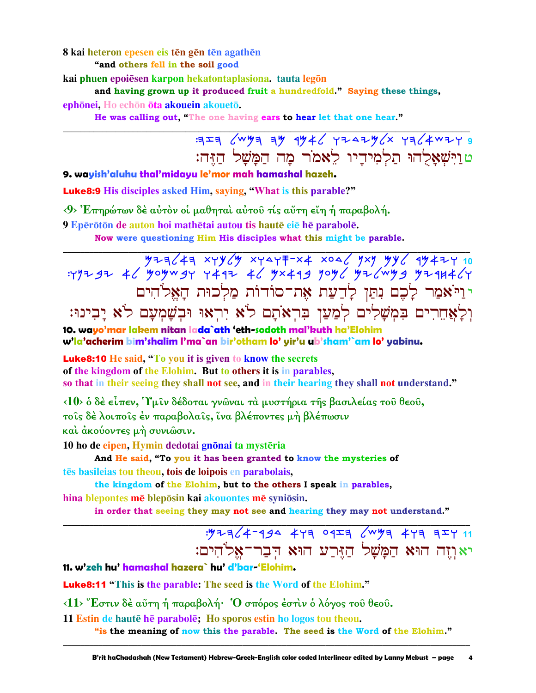#### 8 kai heteron epesen eis tēn gēn tēn agathēn

"and others fell in the soil good

kai phuen epoiēsen karpon hekatontaplasiona, tauta legōn

and having grown up it produced fruit a hundredfold." Saying these things,

ephōnei. Ho echōn ōta akouein akouetō.

He was calling out, "The one having ears to hear let that one hear."

## $7777$   $60497$   $7946$   $7747$   $1964$   $1964$   $1964$ טוישאלהו תלמידיו לאמר מה המשל הזה:

#### 9. wayish'aluhu thal'midayu le'mor mah hamashal hazeh.

**Luke8:9** His disciples asked Him, saying, "What is this parable?"

<9> Επηρώτων δέ αύτον οι μαθηται αύτου τις αύτη είη ή παραβολή.

9 Epērōtōn de auton hoi mathētai autou tis hautē eie hē parabolē.

Now were questioning Him His disciples what this might be parable.

יויֹאמַר לַכֶם נִתַּן לַדַעַת אֶת־סוֹדוֹת מַלְכוּת הַאֲלֹהִים וִלְאֲחֵרִים בִּמְשָׁלִים לְמַעַן בְּרִאוֹתָם לֹא יִרְאוּ וּבִשָּׁמְעָם לֹא יָבִינוּ:

10. wayo'mar lakem nitan lada`ath 'eth-sodoth mal'kuth ha'Elohim w'la'acherim bim'shalim l'ma`an bir'otham lo' yir'u ub'sham'`am lo' yabinu.

**Luke8:10** He said, "To you it is given to know the secrets

of the kingdom of the Elohim. But to others it is in parables.

so that in their seeing they shall not see, and in their hearing they shall not understand."

<10> ο δέ είπεν, Υμιν δέδοται γνώναι τα μυστήρια της βασιλείας του θεου,

τοις δέλοιποις έν παραβολαις, ίνα βλέποντες μή βλέπωσιν

και άκούοντες μή συνιώσιν.

10 ho de eipen, Hymin dedotai gnōnai ta mystēria

And He said, "To you it has been granted to know the mysteries of tēs basileias tou theou, tois de loipois en parabolais,

the kingdom of the Elohim, but to the others I speak in parables, hina blepontes mē bleposin kai akouontes mē syniosin.

in order that seeing they may not see and hearing they may not understand."

## $.9773/4-999$   $473$   $0923$   $/$ wy  $473$   $327$   $11$ יאוְיִה הוּא הַמָּשָׁל הַזֶּרַע הוּא הִבָר־אֱלֹהִים:

11. w'zeh hu' hamashal hazera` hu' d'bar-'Elohim.

**Luke8:11** "This is the parable: The seed is the Word of the Elohim."

<11> "Εστιν δέ αύτη ή παραβολή· Ό σπόρος έστιν ο λόγος του θεου.

11 Estin de haute he parabole; Ho sporos estin ho logos tou theou.

"is the meaning of now this the parable. The seed is the Word of the Elohim."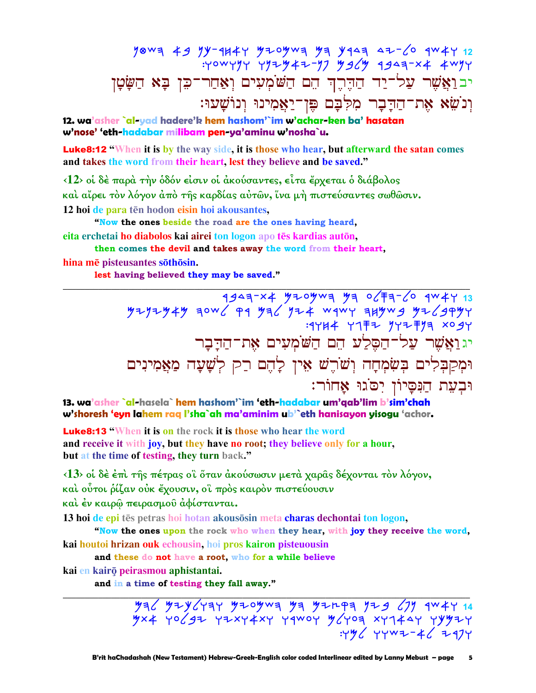yowa 49 Yy-1447 yzoywa ya yaaa 4z-60 qw47 12<br>Yowyyr yyzy4z-y7 ysey qgaa-x4 4wyr יבואֲשֶׁר עַל־יַד הַדֶּרֶךְ הֵם הַשׁׁמְעִים וְאַחַר־כֵּן בָּא הַשָּׂטָן וְנֹשֵׂא אֶת־הַדְּבָר מִלְּבָם פֵּן־יַאֲמִינוּ וְנוֹשָׁעוּ:

12. wa'asher `al-yad hadere'k hem hashom'`im w'achar-ken ba' hasatan w'nose' 'eth-hadabar milibam pen-ya'aminu w'nosha`u.

**Luke8:12** "When it is by the way side, it is those who hear, but afterward the satan comes and takes the word from their heart, lest they believe and be saved."

<12> οί δέ παρά την όδόν είσιν οί άκούσαντες, είτα έρχεται ό διάβολος και αίρει τον λόγον από της καρδίας αύτων, ίνα μή πιστεύσαντες σωθώσιν. 12 hoi de para ten hodon eisin hoi akousantes.

"Now the ones beside the road are the ones having heard,

eita erchetai ho diabolos kai airei ton logon apo tēs kardias autōn.

then comes the devil and takes away the word from their heart, hina mē pisteusantes sōthōsin.

lest having believed they may be saved."

1943-24 MZ PW WOWN 77-FACP<br>Hyzyzy4y qow 4 My 3FY 774 Wqwy quywg yz יגוַאֲשֶׁר עֲלֹדהַםֶּלַע הֵם הַשֹּׂמְעִים אֶת־הַדָּבָר וּמִקַבִּלִים בִּשְׂמִחָה וִשֹׁרֵשׁ אֵין לָהֵם רַק לְשָׁעָה מַאֲמִינִים וּבְעֵת הַנִּסָיוֹן יִסֹגוּ אַחוֹר:

13. wa'asher `al-hasela` hem hashom'`im 'eth-hadabar um'qab'lim b'sim'chah w'shoresh 'eyn lahem rag l'sha`ah ma'aminim ub'`eth hanisayon yisogu 'achor.

**Luke8:13 "When it is on the rock it is those who hear the word** and receive it with joy, but they have no root; they believe only for a hour, but at the time of testing, they turn back."

<13> οι δέ έπι της πέτρας οι όταν άκούσωσιν μετά χαρας δέχονται τον λόγον,

καὶ οὗτοι ῥίζαν οὐκ ἔχουσιν, οἳ πρὸς καιρὸν πιστεύουσιν

καί έν καιρώ πειρασμού άφίστανται.

13 hoi de epi tēs petras hoi hotan akousosin meta charas dechontai ton logon,

"Now the ones upon the rock who when they hear, with joy they receive the word,

kai houtoi hrizan ouk echousin, hoi pros kairon pisteuousin

and these do not have a root, who for a while believe

kai en kairō peirasmou aphistantai.

and in a time of testing they fall away."

 $\frac{1}{2}$   $\frac{1}{2}$   $\frac{1}{2}$   $\frac{1}{2}$   $\frac{1}{2}$   $\frac{1}{2}$   $\frac{1}{2}$   $\frac{1}{2}$   $\frac{1}{2}$   $\frac{1}{2}$   $\frac{1}{2}$   $\frac{1}{2}$   $\frac{1}{2}$   $\frac{1}{2}$   $\frac{1}{2}$   $\frac{1}{2}$   $\frac{1}{2}$   $\frac{1}{2}$   $\frac{1}{2}$   $\frac{1}{2}$   $\frac{1}{2}$   $\frac{1}{2}$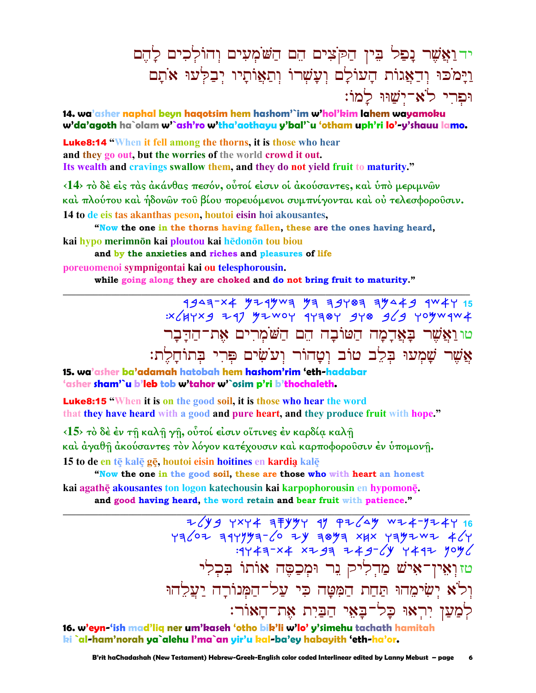# יד וַאֲשֶׁר נָפַל בִּין הַקֹּצִים הֵם הַשֹּׂמְעִים וְהוֹלְכִים לָהֵם וַיַּמֹכּוּ וְדָאֲגוֹת הַעוֹלַם וְעֲשָׁרוֹ וְתַאֲוֹתַיו יְבַלְעוּ אֹתַם : וּפרי לֹאָ־יֹשׁוּוּ לִמוֹ

**14. wa'asher naphal beyn haqotsim hem hashom'`im w'hol'kim lahem wayamoku w'da'agoth ha`olam w'`ash'ro w'tha'aothayu y'bal'`u 'otham uph'ri lo'-y'shauu lamo.**

Luke8:14 **"When it fell among the thorns, it is those who hear and they go out, but the worries of the world crowd it out. Its wealth and cravings swallow them, and they do not yield fruit to maturity."** 

**‹14› τὸ δὲ εἰς τὰς ἀκάνθας πεσόν, οὗτοί εἰσιν οἱ ἀκούσαντες, καὶ ὑπὸ µεριµνῶν καὶ πλούτου καὶ ἡδονῶν τοῦ βίου πορευόµενοι συµπνίγονται καὶ οὐ τελεσφοροῦσιν. 14 to de eis tas akanthas peson, houtoi eisin hoi akousantes,** 

**"Now the one in the thorns having fallen, these are the ones having heard, kai hypo** merimnōn kai ploutou kai hēdonōn tou biou

**and by the anxieties and riches and pleasures of life poreuomenoi sympnigontai kai ou telesphorousin.** 

**while going along they are choked and do not bring fruit to maturity." \_\_\_\_\_\_\_\_\_\_\_\_\_\_\_\_\_\_\_\_\_\_\_\_\_\_\_\_\_\_\_\_\_\_\_\_\_\_\_\_\_\_\_\_\_\_\_\_\_\_\_\_\_\_\_\_\_\_\_\_\_\_\_\_\_\_\_\_\_\_\_\_\_\_\_\_\_\_\_\_\_\_\_\_\_\_\_\_\_\_\_\_\_**

> 1943<sup>-x</sup>4 Y24YW3 Y3 39Y03 3Y449 1W4Y 15 :tljwtb yrp Mycow rwhfw bwf blb womcrca טונאַשֶׁר בָאֲדָמָה הַטּוֹבָה הֶם הַשֹּׁמְרִים אָת־הַדָּבָר צִשִּׁר שַׁמְעוּ בִלֶב טוֹב וְטַהוֹר וְעֹשִׂים פִּרִי בְּתוֹחַלֶת:

**15. wa'asher ba'adamah hatobah hem hashom'rim 'eth-hadabar 'asher sham'`u b'leb tob w'tahor w'`osim p'ri b'thochaleth.**

Luke8:15 **"When it is on the good soil, it is those who hear the word that they have heard with a good and pure heart, and they produce fruit with hope."** 

**‹15› τὸ δὲ ἐν τῇ καλῇ γῇ, οὗτοί εἰσιν οἵτινες ἐν καρδίᾳ καλῇ καὶ ἀγαθῇ ἀκούσαντες τὸν λόγον κατέχουσιν καὶ καρποφοροῦσιν ἐν ὑποµονῇ. 15 to de en tÿ kalÿ gÿ, houtoi eisin hoitines en kardia0 kalÿ** 

**"Now the one in the good soil, these are those who with heart an honest kai agathÿ akousantes ton logon katechousin kai karpophorousin en hypomonÿ. and good having heard, the word retain and bear fruit with patience."** 

**\_\_\_\_\_\_\_\_\_\_\_\_\_\_\_\_\_\_\_\_\_\_\_\_\_\_\_\_\_\_\_\_\_\_\_\_\_\_\_\_\_\_\_\_\_\_\_\_\_\_\_\_\_\_\_\_\_\_\_\_\_\_\_\_\_\_\_\_\_\_\_\_\_\_\_\_\_\_\_\_\_\_\_\_\_\_\_\_\_\_\_\_\_**

7 xy4 3 Fyyy 4 PZ 4 WZ + 16 whloy hrwnmh-lo yk hfmh tjt whmycy alw  $:4447 \times 4 \times 9799$   $+49699$   $+49799$ טזוְאֵין־אִישׁ מַדִלִיק נֵר וּמִכַםֵּה אוֹתוֹ בִּכִלִי וִל<sup>ּי</sup>א יִשִׂימֶהוּ תַּחַת הַמִּטַּה כִּי עַל־הַמִּנוֹרַה יַעֲלֵהוּ לִמַעַן יִרְאוּ כַל־בַּאֵי הַבַּיִת אָת־הַאוֹר:

**16. w'eyn-'ish mad'liq ner um'kaseh 'otho bik'li w'lo' y'simehu tachath hamitah ki `al-ham'norah ya`alehu l'ma`an yir'u kal-ba'ey habayith 'eth-ha'or.**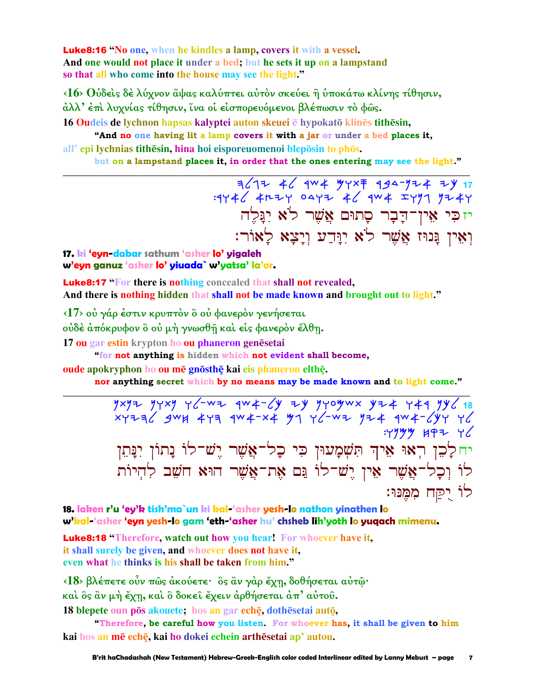**Luke8:16** "No one, when he kindles a lamp, covers it with a vessel. And one would not place it under a bed; but he sets it up on a lampstand so that all who come into the house may see the light."

<16> Ούδεις δε λύχνον άψας καλύπτει αύτον σκεύει ή υποκάτω κλίνης τίθησιν, άλλ' έπὶ λυχνίας τίθησιν, ἵνα οἱ εἰσπορευόμενοι βλέπωσιν τὸ φῶς.

16 Qudeis de lychnon hapsas kalyptei auton skeuei ē hypokatō klinēs tithēsin,

"And no one having lit a lamp covers it with a jar or under a bed places it, all' epi lychnias tithēsin, hina hoi eisporeuomenoi blepōsin to phōs.

but on a lampstand places it, in order that the ones entering may see the light."

יזכִּי אִין־דַבָר סַתוּם אֲשֶׁר לֹא יְגַּלֵה וְאִין גַּנוּז אֱשֶׁר לֹא יְוַּדַע וְיַצָא לַאוֹר:

17. ki 'eyn-dabar sathum 'asher lo' yigaleh w'eyn ganuz 'asher lo' yiuada` w'yatsa' la'or.

**Luke8:17** "For there is nothing concealed that shall not revealed, And there is nothing hidden that shall not be made known and brought out to light."

<17> ού γάρ έστιν κρυπτόν ὃ ού φανερόν γενήσεται

ούδέ απόκρυφον ὃ οὐ μή γνωσθή και είς φανερὸν ἔλθη.

17 ou gar estin krypton ho ou phaneron genesetai

"for not anything is hidden which not evident shall become,

oude apokryphon ho ou mē gnōsthē kai eis phaneron elthē.

nor anything secret which by no means may be made known and to light come."

 $7x77$   $7x7$   $76 - w7$   $4w4 - 6y$   $7y$   $70$   $7x$   $8x + 749$   $7y6$   $18$  $xy+72$  gwx 449 9w4-x4 y1 46-w2 y24 9w4-6y4 46  $.4999$  HPZ  $92$ יחלָבֵן רְאוּ אֵיךְ תִּשְׁמָעוּן כִּי כָל־אֲשֶׁר יֶשׁ־לוֹ נָתוֹן יִנָּתֵן לוֹ וְכָל־אֲשֶׁר אֵין יֵשׁ־לוֹ נֵּם אֶת־אֲשֶׁר הוּא חֹשֵׁב לְהְיוֹת לוֹ יָקַח מִמֲנּוּ:

18. laken r'u 'ey'k tish'ma`un ki kal-'asher yesh-lo nathon yinathen lo w'kal-'asher 'eyn yesh-lo gam 'eth-'asher hu' chsheb lih'yoth lo yuqach mimenu.

**Luke8:18** "Therefore, watch out how you hear! For whoever have it, it shall surely be given, and whoever does not have it, even what he thinks is his shall be taken from him."

<18> βλέπετε ούν πως άκούετε· ος αν γάρ έχη, δοθήσεται αύτω· καὶ ὃς ἂν μὴ ἔχῃ, καὶ ὃ δοκεῖ ἔχειν ἀρθήσεται ἀπ' αὐτοῦ.

18 blepete oun pōs akouete; hos an gar echē, dothēsetai autō,

"Therefore, be careful how you listen. For whoever has, it shall be given to him kai hos an mē echē, kai ho dokei echein arthēsetai ap' autou.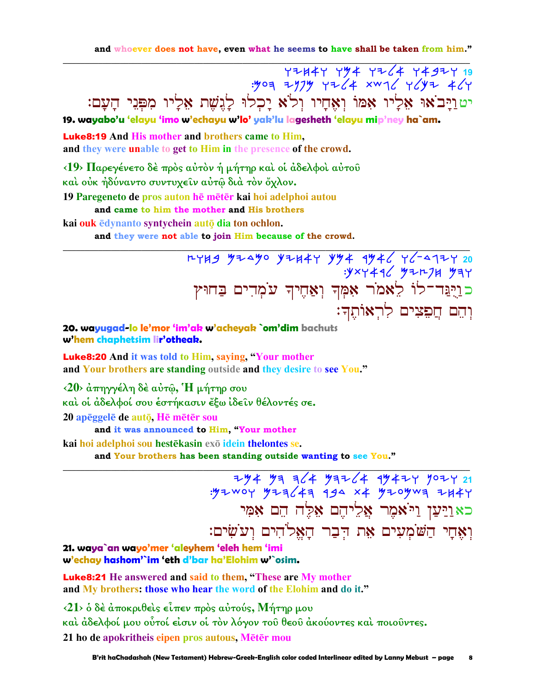and whoever does not have, even what he seems to have shall be taken from him."

72447 742 7264 74347 19<br>4/74 744 7467 7464 1945 7464. יטוַיָּבֹאוּ אֵלָיו אָמּוֹ וְאָחָיו וְלֹא יָכְלוּ לָגִשָׁת אֵלָיו מִפְּנֵי הָעָם: 19. wayabo'u 'elayu 'imo w'echayu w'lo' yak'lu lagesheth 'elayu mip'ney ha`am.

**Luke8:19 And His mother and brothers came to Him.** and they were unable to get to Him in the presence of the crowd.

<19> Παρεγένετο δὲ πρὸς αὐτὸν ἡ μήτηρ καὶ οἱ ἀδελφοὶ αὐτοῦ καὶ οὐκ ἠδύναντο συντυχεῖν αὐτῷ διὰ τὸν ὄχλον.

19 Paregeneto de pros auton he meter kai hoi adelphoi autou

and came to him the mother and His brothers

kai ouk ēdynanto syntychein auto dia ton ochlon.

and they were not able to join Him because of the crowd.

:yxy446 y+r7H yay כּוַרֻּבֵּד־לוֹ לֵאמֹר אִמְךְ וְאַחֶיךְ עֹמְדִים בַּחוּץ וְהֵם חֲפָצִים לְרְאוֹתֵךָ:

20. wayugad-lo le'mor 'im'ak w'acheyak `om'dim bachuts w'hem chaphetsim lir'otheak.

**Luke8:20** And it was told to Him, saying, "Your mother and Your brothers are standing outside and they desire to see You."

 $\langle 20 \rangle$  άπηγγέλη δέ αύτ $\hat{\omega}$ , H μήτηρ σου

και οι άδελφοί σου έστήκασιν έξω ίδειν θέλοντές σε.

20 apéggele de auto, He meter sou

and it was announced to Him, "Your mother

kai hoi adelphoi sou hestēkasin exō idein the lontes se.

and Your brothers has been standing outside wanting to see You."

 $794 99 = 124 99 = 124$ : 494 992 1444 992 1444 992 1444 992 1444 כאוַיַּעַן וַיֹּאמֶר אֱלֵיהֶם אֶלֶה הֶם אָמֶי וְאֵחַי הַשֹּׁמְעִים אֶת דִּבָר הַאֲלֹהִים וְעֹשִׂים:

21. waya`an wayo'mer 'aleyhem 'eleh hem 'imi w'echay hashom'`im 'eth d'bar ha'Elohim w'`osim.

**Luke8:21** He answered and said to them, "These are My mother and My brothers: those who hear the word of the Elohim and do it."

 $\langle 21 \rangle$  δ δέ άποκριθείς είπεν πρός αύτούς, Μήτηρ μου καὶ ἀδελφοί μου οὗτοί εἰσιν οἱ τὸν λόγον τοῦ θεοῦ ἀκούοντες καὶ ποιοῦντες. 21 ho de apokritheis eipen pros autous, Mētēr mou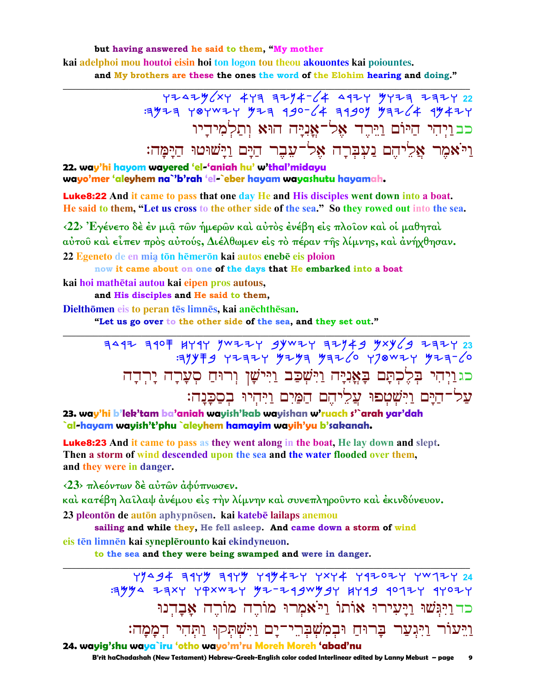but having answered he said to them, "My mother kaj adelphoj mou houtoj ejsin hoj ton logon tou theou akouontes kaj pojountes. and My brothers are these the ones the word of the Elohim hearing and doing."

> כב ויהי היום ויהר אל־אניה הוא ותלמידיו <u>ויאמר אליהם נעברה אל־עבר הים וישוטו הימה:</u>

22. way'hi hayom wayered 'el-'aniah hu' w'thal'midayu wayo'mer 'aleyhem na`'b'rah 'el-`eber hayam wayashutu hayamah.

**Luke8:22** And it came to pass that one day He and His disciples went down into a boat. He said to them, "Let us cross to the other side of the sea." So they rowed out into the sea.

<22> Έγένετο δέ έν μια των ήμερων και αύτος ένέβη είς πλοίον και οι μαθηται αύτου και είπεν πρός αύτούς, Διέλθωμεν είς τό πέραν της λίμνης, και άνήχθησαν. 22 Egeneto de en mia tōn hēmerōn kai autos enebē eis ploion

now it came about on one of the days that He embarked into a boat kai hoi mathētai autou kai eipen pros autous,

and His disciples and He said to them,

Dielthōmen eis to peran tēs limnēs, kai anēchthēsan.

"Let us go over to the other side of the sea, and they set out."

כגויהי בלכתם באניה וישבב ויישו ורוח סערה ירדה על־הַיַּם וַיִּשְׁטִפוּ עֲלֵיהֵם הַמַּיִם וַיִּהִיוּ בְסָכְּנַה:

23. way'hi b'lek'tam ba'aniah wayish'kab wayishan w'ruach s'`arah yar'dah `al-hayam wayish't'phu `aleyhem <mark>hamayim wayih'yu b</mark>'sakanah.

**Luke8:23** And it came to pass as they went along in the boat, He lay down and slept. Then a storm of wind descended upon the sea and the water flooded over them, and they were in danger.

<23> πλεόντων δέ αύτων αφύπνωσεν.

καὶ κατέβη λαῖλαψ ἀνέμου εἰς τὴν λίμνην καὶ συνεπληροῦντο καὶ ἐκινδύνευον.

23 pleontōn de autōn aphypnōsen. kai katebē lailaps anemou

sailing and while they, He fell asleep. And came down a storm of wind eis tēn limnēn kai syneplērounto kai ekindyneuon.

to the sea and they were being swamped and were in danger.

כד וַיִּבְּשׁוּ וַיַּעִירוּ אוֹתוֹ וַיֹּאמִרוּ מוֹרֵה מוֹרֵה אָבָדְנוּ וַיֵּעוֹר וַיִּגְעַר בָרוּחַ וּבְמִשְׁבְּרֵי־יָם וַיִּשְׁתְּקוּ וַתְּהִי הְמָמָה: 24. wayig'shu waya`iru 'otho wayo'm'ru Moreh Moreh 'abad'nu

B'rit haChadashah (New Testament) Hebrew-Greek-English color coded Interlinear edited by Lanny Mebust - page  $\mathbf{9}$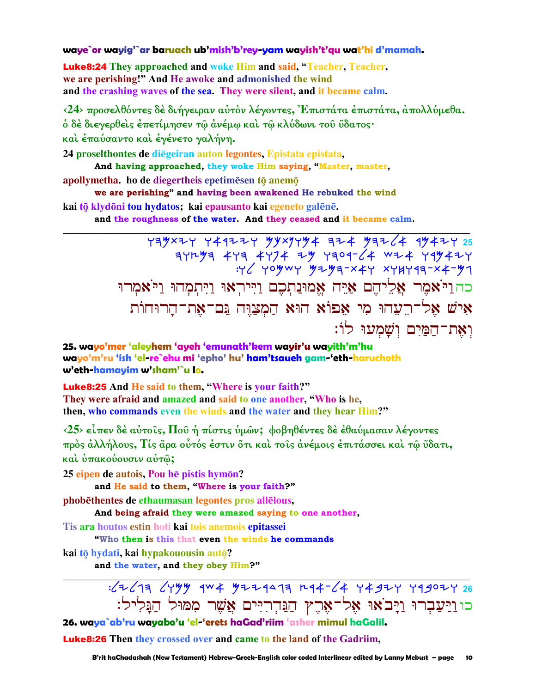#### waye`or wayig'`ar baruach ub'mish'b'rey-yam wayish't'qu wat'hi d'mamah.

**Luke8:24** They approached and woke Him and said, "Teacher, Teacher, we are perishing!" And He awoke and admonished the wind and the crashing waves of the sea. They were silent, and it became calm.

<24> προσελθόντες δέ διήγειραν αύτον λέγοντες, Επιστάτα έπιστάτα, άπολλύμεθα. ό δὲ διεγερθεὶς ἐπετίμησεν τῷ ἀνέμῳ καὶ τῷ κλύδωνι τοῦ ὕδατος· και έπαύσαντο και έγένετο γαλήνη.

24 proselthontes de diegeiran auton legontes, Epistata epistata, And having approached, they woke Him saying, "Master, master,

apollymetha. ho de diegertheis epetimesen to anemo

we are perishing" and having been awakened He rebuked the wind

kai tō klydōni tou hydatos; kai epausanto kai egeneto galēnē.

and the roughness of the water. And they ceased and it became calm.

 $Y=4$   $Y+4$   $Y+4$   $Y+4$   $Y+4$   $Y+4$   $Y+4$   $Y+4$   $Y+4$   $Y+25$  $\frac{1}{4}y + \frac{1}{4}y + \frac{1}{4}y + \frac{1}{4}y + \frac{1}{4}y + \frac{1}{4}y + \frac{1}{4}y + \frac{1}{4}y + \frac{1}{4}y + \frac{1}{4}y + \frac{1}{4}y + \frac{1}{4}y + \frac{1}{4}y + \frac{1}{4}y + \frac{1}{4}y + \frac{1}{4}y + \frac{1}{4}y + \frac{1}{4}y + \frac{1}{4}y + \frac{1}{4}y + \frac{1}{4}y + \frac{1}{4}y + \frac{1}{4}y + \frac{1}{4}y + \frac{1$ כה ויאמר אליהם איה אמונתכם וייראו ויתמהו ויאמרו איש אל־רֵעֲהוּ מִי אַפוֹא הוּא הַמְצַוֵּה נֵּם־אָת־הָרוּחוֹת וְאֶת־הַמַּיִם וְשַׁמְעוּ לוֹ:

25. wayo'mer 'aleyhem 'ayeh 'emunath'kem wayir'u wayith'm'hu wayo'm'ru 'ish 'el-re`ehu mi 'epho' hu' ham'tsaueh gam-'eth-haruchoth w'eth-hamayim w'sham'`u lo.

**Luke8:25** And He said to them, "Where is your faith?" They were afraid and amazed and said to one another, "Who is he, then, who commands even the winds and the water and they hear Him?"

 $\langle 25 \rangle$  είπεν δέ αύτοις, Που ή πίστις υμών; φοβηθέντες δε εθαύμασαν λέγοντες πρός άλλήλους, Τίς άρα ούτός έστιν ότι και τοις άνέμοις έπιτάσσει και τω ύδατι, και υπακούουσιν αυτώ;

25 eipen de autois. Pou he pistis hymon?

and He said to them, "Where is your faith?"

phobēthentes de ethaumasan legontes pros allēlous,

And being afraid they were amazed saying to one another,

Tis ara houtos estin hoti kai tois anemois epitassei

"Who then is this that even the winds he commands

kai tō hydati, kai hypakouousin autō?

and the water, and they obey Him?"

 $\frac{1}{26}$   $\frac{1}{4}$   $\frac{1}{4}$   $\frac{1}{4}$   $\frac{1}{4}$   $\frac{1}{4}$   $\frac{1}{4}$   $\frac{1}{4}$   $\frac{1}{4}$   $\frac{1}{4}$   $\frac{1}{4}$   $\frac{1}{4}$   $\frac{1}{4}$   $\frac{1}{4}$   $\frac{1}{4}$   $\frac{1}{4}$   $\frac{1}{4}$   $\frac{1}{4}$   $\frac{1}{4}$   $\frac{1}{4}$   $\frac{1}{4}$   $\frac{1}{4}$  כוניַעַבְרוּ וַיָּבֹאוּ אֶל־אֶרֶץ הַנֵּדְרִיִּים אֲשֵׁר מִמּוּל הַנִּלִיל:

26. waya`ab'ru wayabo'u 'el-'erets haGad'riim 'asher mimul haGalil.

**Luke8:26** Then they crossed over and came to the land of the Gadriim,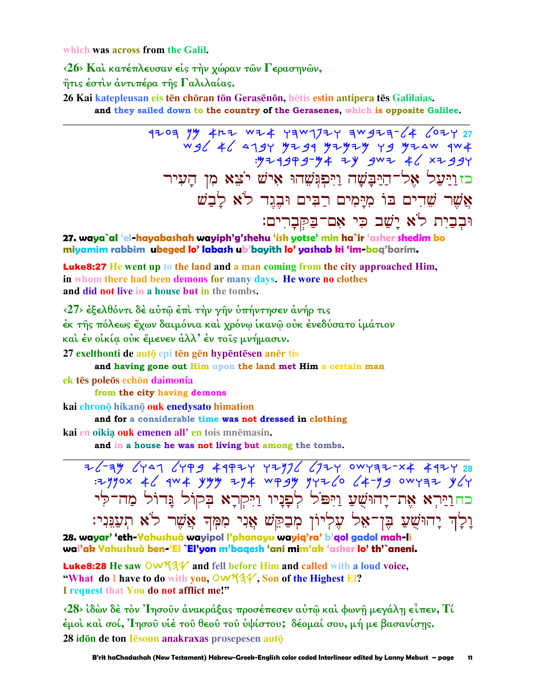which was across from the Galil.

<26> Και κατέπλευσαν είς την χώραν των Γερασηνών, ήτις έστιν άντιπέρα της Γαλιλαίας.

26 Kai katepleusan eis tēn chōran tōn Gerasēnōn, hētis estin antipera tēs Galilaias. and they sailed down to the country of the Gerasenes, which is opposite Galilee.

> $1703$   $1%$   $4h7$   $w74$   $17w177$   $7w3777$   $4$   $07727$ כזוַיַּעֲל אֶל־הַיַּבָּשָׁה וַיִּפְגִּשָׁהוּ אִישׁ יֹצֵא מִן הַעִיר אֲשֶׁר שֶׁדִים בּוֹ מִיַּמִים רַבִּים וּבֶגֵד לֹא לַבָשׁ וּבְבַיִת לֹא יַשֲׁב כִּי אָם־בַּקְבָרִים:

27. waya`al 'el-hayabashah wayiph'g'shehu 'ish yotse' min ha`ir 'asher shedim bo miyamim rabbim ubeged lo'labash ub'bayith lo'yashab ki 'im-baq'barim.

**Luke8:27** He went up to the land and a man coming from the city approached Him, in whom there had been demons for many days. He wore no clothes and did not live in a house but in the tombs.

<27> έξελθόντι δέ αύτω έπι την γην υπήντησεν ανήρ τις έκ της πόλεως έχων δαιμόνια και χρόνω ικανώ ουκ ένεδύσατο ιμάτιον και έν οικία ούκ έμενεν άλλ' έν τοις μνήμασιν. 27 exelthonti de autō epi tēn gēn hypēntēsen anēr tis

and having gone out Him upon the land met Him a certain man ek tēs poleōs echōn daimonia

from the city having demons

kai chronō hikanō ouk enedysato himation

and for a considerable time was not dressed in clothing

kai en oikia ouk emenen all' en tois mnēmasin.

and in a house he was not living but among the tombs.

26-34 6447 6499 44924 42976 6724 0WY32-X4 4924 28 : 2yyox 46 qw 4 yyy 2y4 wg gy yyz6 64-yg owyaz y6y כחוַיַּרְא אֶת־יָהוּשֻׁעַ וַיִּפֹּל לְפָנִיו וַיִּקְרָא בְּקוֹל נִדוֹל מַה־לִי וַלַד יַחוּשָׁעַ בֵּן־אָל עִלְיוֹן מִבַקֵּשׁ אֲנִי מִמְּךְ אֲשֶׁר לֹא תִעֲגֵּנִי:

28. wayar' 'eth-Yahushuà wayipol l'phanayu wayiq'ra' b'gol gadol mah-li wal'ak Yahushuà ben-'El `El'yon m'bagesh 'ani mim'ak 'asher lo' th'`aneni.

Luke8:28 He saw Ow 13/ and fell before Him and called with a loud voice, "What do I have to do with you,  $\mathsf{OW44V}$ , Son of the Highest El? I request that You do not afflict me!"

 $\langle 28 \rangle$  ίδών δέ τον 'Ιησούν άνακράξας προσέπεσεν αύτῶ και φωνῆ μεγάλη εἶπεν, Τί έμοὶ καὶ σοί, Ἰησοῦ υἱὲ τοῦ θεοῦ τοῦ ὑψίστου; δέομαί σου, μή με βασανίσης. 28 idon de ton lesoun anakraxas prosepesen auto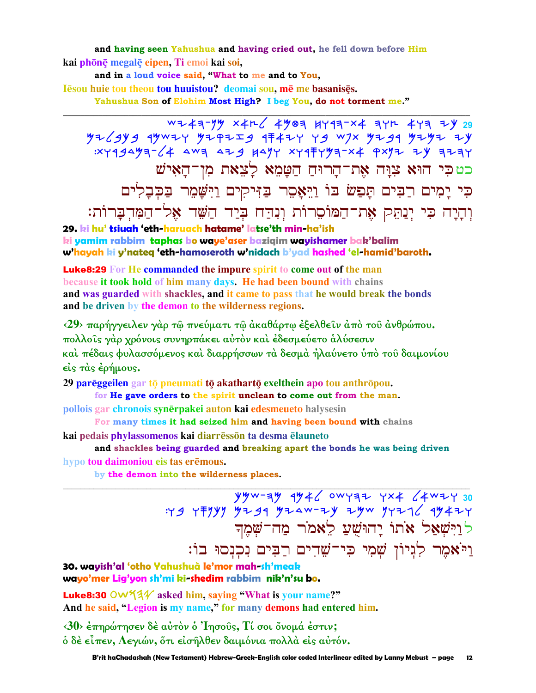and having seen Yahushua and having cried out, he fell down before Him kai phōnē megalē eipen, Ti emoi kai soi,

and in a loud voice said, "What to me and to You,

Iēsou huie tou theou tou huuistou? deomai sou, mē me basanisēs.

Yahushua Son of Elohim Most High? I beg You, do not torment me."

WZ43-YY X4L 4903 HY93-X4 3YR 4Y3 ZY 29  $yz\angle qyz$  19w2y 92 925 1742 9427 943 978 978 9799 9792 79 כטכי הוּא צִוָּה אַת־הָרוּחַ הַטָּמֵא לָצֵאת מִן־הָאִישׁ כִּי יַמְים רַבִּים תַּפַשׂ בּוֹ וַיֵּאָסֵר בַּזִּיקִים וַיִּשָּׁמֵר בַּכְּבָלִים וְהָיָה כִּי יְנַתֵּק אֶת־הַמּוֹסֵרוֹת וְנִהַח בְּיַד הַשָּׁד אֶל־הַמְּדְבַּרוֹת:

29. ki hu' tsiuah 'eth-haruach hatame' latse'th min-ha'ish ki yamim rabbim taphas bo waye'aser baziqim wayishamer bak'balim w'hayah ki y'nateg 'eth-hamoseroth w'nidach b'yad hashed 'el-hamid'baroth.

**Luke8:29** For He commanded the impure spirit to come out of the man because it took hold of him many days. He had been bound with chains and was guarded with shackles, and it came to pass that he would break the bonds and be driven by the demon to the wilderness regions.

<29> παρήγγειλεν γάρ τω πνεύματι τω ακαθάρτω εξελθείν από του ανθρώπου. πολλοίς γάρ χρόνοις συνηρπάκει αύτον και έδεσμεύετο άλύσεσιν καὶ πέδαις φυλασσόμενος καὶ διαρρήσσων τὰ δεσμὰ ἠλαύνετο ὑπὸ τοῦ δαιμονίου  $\epsilon$  is  $\tau$   $\alpha$ s  $\epsilon$   $\epsilon$   $\gamma$   $\mu$   $\omega$   $\gamma$ .

29 parēggeilen gar tō pneumati tō akathartō exelthein apo tou anthrōpou.

for He gave orders to the spirit unclean to come out from the man.

pollois gar chronois synērpakei auton kai edesmeueto halysesin

For many times it had seized him and having been bound with chains

kai pedais phylassomenos kai diarrēssōn ta desma ēlauneto

and shackles being guarded and breaking apart the bonds he was being driven

hypo tou daimoniou eis tas erēmous.

by the demon into the wilderness places.

 $\frac{y y - \frac{y}{2} + \frac{y}{2} - \frac{y}{2}}{y - \frac{y}{2}} = \frac{y - \frac{y}{2} + \frac{y}{2}}{y - \frac{y}{2}} = \frac{y - \frac{y}{2}}{y - \frac{y}{2}} = \frac{y - \frac{y}{2}}{y - \frac{y}{2}} = \frac{y - \frac{y}{2}}{y - \frac{y}{2}} = \frac{y - \frac{y}{2}}{y - \frac{y}{2}} = \frac{y - \frac{y}{2}}{y - \frac{y}{2}} = \frac{y - \frac{y}{2}}{y - \frac{y}{2}} = \frac{y - \frac{y}{2$ לוַיִּשְׁאֲל אֹתוֹ יַחוּשִׁעַ לֵאמֹר מַח־שָׁמָך וַיֹּאָמֵר לְגִיוֹן שִׁמִי כִּי־שֵׁדִים רַבִּים נִכְנְסוּ בוֹ:

30. wayish'al 'otho Yahushuà le'mor mah-sh'meak wayo'mer Lig'yon sh'mi ki-shedim rabbim nik'n'su bo.

**Luke8:30** OW  $44$  asked him, saying "What is your name?" And he said, "Legion is my name," for many demons had entered him.

<30> έπηρώτησεν δέ αύτον ο 'Iησούς, Τί σοι όνομά έστιν; ό δὲ εἶπεν, Λεγιών, ὅτι εἰσῆλθεν δαιμόνια πολλὰ εἰς αὐτόν.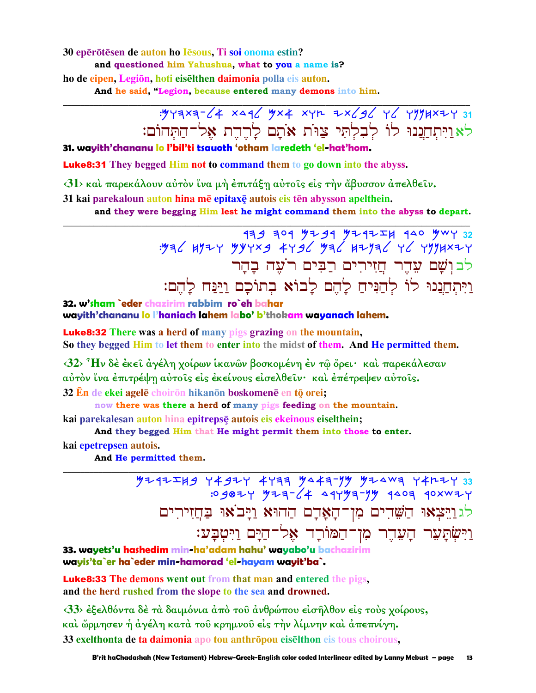30 eperotesen de auton ho Iesous. Ti soi onoma estin? and questioned him Yahushua, what to you a name is? ho de eipen, Legiōn, hoti eiselthen daimonia polla eis auton. And he said, "Legion, because entered many demons into him.

# : y y a x a 1 y x + x y n + x / 3 y y y y y x + 31 לאַוַיִּתְחֲנֵנוּ לוֹ לְבְלְתִּי צַוּוֹת אֹתָם לָרֵדֵת אָל־הַתְּהוֹם:

#### 31. wayith'chananu lo l'bil'ti tsauoth 'otham laredeth 'el-hat'hom.

**Luke8:31** They begged Him not to command them to go down into the abyss.

<31> και παρεκάλουν αυτόν ίνα μή έπιτάξη αυτοίς είς την άβυσσον απελθείν.

31 kai parekaloun auton hina mē epitaxē autois eis tēn abysson apelthein.

and they were begging Him lest he might command them into the abyss to depart.

לבושם עדר חזירים רבים רעה בהר וַיִּתְחֲנֵנוּ לוֹ לְהַנִּיחַ לַהֶם לַבוֹא בְתוֹכָם וַיַּנַּח לַהֶם:

32. w'sham `eder chazirim rabbim ro`eh bahar wayith'chananu lo l'haniach lahem labo' b'thokam wayanach lahem.

**Luke8:32** There was a herd of many pigs grazing on the mountain, So they begged Him to let them to enter into the midst of them. And He permitted them.

<32> Ήν δέ έκει άγέλη χοίρων ικανών βοσκομένη έν τω όρει· και παρεκάλεσαν αύτον ΐνα έπιτρέψη αύτοις είς εκείνους είσελθειν· και επέτρεψεν αύτοις.

32 En de ekei agelē choirōn hikanōn boskomenē en tō orei;

now there was there a herd of many pigs feeding on the mountain.

kai parekalesan auton hina epitrepsē autois eis ekeinous eiselthein;

And they begged Him that He might permit them into those to enter.

kai epetrepsen autois.

And He permitted them.

 $74747783$  7492Y 4733 9443-79 92443 74427 33<br>7- 7- 9940 949-79 9404 9404 7540 9405: לגוַיִּצְאוּ הַשָּׁדִים מִן־הָאָדָם הַהוּא וַיָּבֹאוּ בַּחֲזִירִים וַיִּשְׂתַעָר הַעֲדֶר מִן־הַמּוֹרַד אֶל־הַיַּם וַיִּטְבַּע:

33. wavets'u hashedim min-ha'adam hahu' wavabo'u bachazirim wayis'ta`er ha`eder min-hamorad 'el-hayam wayit'ba`.

**Luke8:33** The demons went out from that man and entered the pigs. and the herd rushed from the slope to the sea and drowned.

<33> έξελθόντα δέ τὰ δαιμόνια ἀπὸ τοῦ ἀνθρώπου εἰσῆλθον εἰς τούς χοίρους, καὶ ὥρμησεν ἡ ἀγέλη κατὰ τοῦ κρημνοῦ εἰς τὴν λίμνην καὶ ἀπεπνίγη. 33 exelthonta de ta daimonia apo tou anthropou eiselthon eis tous choirous,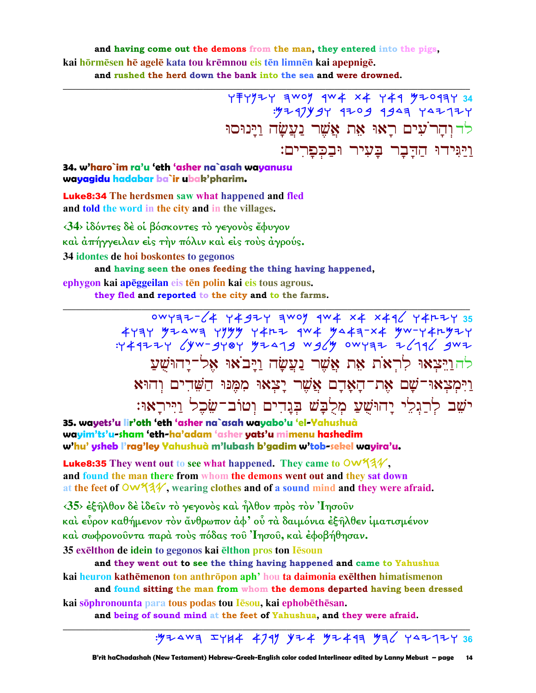#### and having come out the demons from the man, they entered into the pigs. kai hōrmēsen hē agelē kata tou krēmnou eis tēn limnēn kai apepnigē. and rushed the herd down the bank into the sea and were drowned.

: 4247444 4204 4444 442124 <u>לד והר<sup>י</sup>עים ראו את אשר נעשה וינוסו</u> ויגידו הדבר בעיר ובכפרים:

#### 34. w'haro`im ra'u 'eth 'asher na`asah wayanusu wayagidu hadabar ba`ir ubak'pharim.

**Luke8:34** The herdsmen saw what happened and fled and told the word in the city and in the villages.

 $\langle 34 \rangle$  ίδόντες δέ οι βόσκοντες το γεγονός έφυγον

και άπήγγειλαν είς την πόλιν και είς τους άγρούς.

34 idontes de hoi boskontes to gegonos

and having seen the ones feeding the thing having happened,

ephygon kai apēggeilan eis tēn polin kai eis tous agrous.

they fled and reported to the city and to the farms.

0WY37-64 Y492Y 3W0Y 1W4 x4 x416 Y4H2Y 35  $744777$  (yw-gyoy yzazg wg /y owyaz 7/79 / gwz להוַיִּצְאוּ לְרְאֹת אֶת אֲשֶׁר נַעֲשָׂה וַיַּבֹאוּ אָל־יַהוּשִׁעַ וַיִּמְצַאוּ־שָׁם אָת־הַאֲדָם אֲשֶׁר יָצְאוּ מִמְּנוּ הַשֶּׁדִים וְהוּא ישֶׁב לְרַגְלֵי יַהוּשָׁעַ מְלְבַּשׁ בְּנֵדִים וְטוֹב־שֶׂכֶל וַיִּירַאוּ:

35. wavets'u lir'oth 'eth 'asher na`asah wavabo'u 'el-Yahushuà wayim'ts'u-sham 'eth-ha'adam 'asher yats'u mimenu hashedim w'hu' ysheb l'rag'ley Yahushuà m'lubash b'gadim w'tob-sekel wayira'u.

Luke8:35 They went out to see what happened. They came to OW134. and found the man there from whom the demons went out and they sat down at the feet of  $\mathsf{OW44V}$ , wearing clothes and of a sound mind and they were afraid.

 $\langle 35 \rangle$  έξηλθον δε ίδειν το γεγονός και ήλθον προς τον 'Ιησούν καὶ εὗρον καθήμενον τὸν ἄνθρωπον ἀφ' οὗ τὰ δαιμόνια ἐξῆλθεν ἱματισμένον και σωφρονούντα παρά τους πόδας του Ίησου, και έφοβήθησαν. 35 exelthon de idein to gegonos kai elthon pros ton Iesoun

and they went out to see the thing having happened and came to Yahushua kai heuron kathēmenon ton anthrōpon aph' hou ta daimonia exēlthen himatismenon and found sitting the man from whom the demons departed having been dressed

kai sophronounta para tous podas tou lesou, kai ephobethesan.

and being of sound mind at the feet of Yahushua, and they were afraid.

### : YZAWA IYH4 4791 YZ4 YZ49A YA YAZ7ZY 36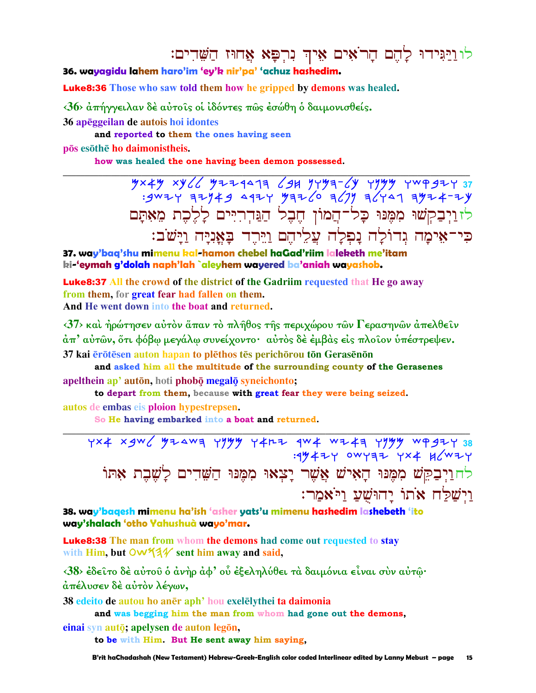## לו<u>וי</u>ּגִּידוּ לָהֵם הָרֹאִים אֵיךְ נִרְפָּא אַחוּז הַשָּׁדִים:

#### 36. wayagidu lahem haro'im 'ey'k nir'pa' 'achuz hashedim.

**Luke8:36** Those who saw told them how he gripped by demons was healed.

<36> άπήγγειλαν δέ αύτοις οι ιδόντες πως έσώθη ο δαιμονισθείς.

36 apeggeilan de autois hoi idontes

and reported to them the ones having seen

pōs esōthē ho daimonistheis.

how was healed the one having been demon possessed.

 $\frac{1}{2}$  xy all  $\frac{1}{2}$  y a  $\frac{1}{2}$  y a  $\frac{1}{2}$  a  $\frac{1}{2}$  a  $\frac{1}{2}$  a  $\frac{1}{2}$  y a  $\frac{1}{2}$  a  $\frac{1}{2}$  i  $\frac{1}{2}$  a  $\frac{1}{2}$  y a  $\frac{1}{2}$  a  $\frac{1}{2}$  y a  $\frac{1}{2}$  a  $\frac{1}{2}$  y a  $\frac{1}{2}$  a  $\frac{1}{2}$  a לזויבקשו מִמֶּנוּ כַל־הַמוֹן הֶבֶל הַנֵּדְרִיִּים לַלֵבֶת מֵאָתַם כִּי־אֵימַה גִדוֹלַה נַפְלַה עֲלֵיהֶם וַיֵּרֶד בַּאֲנְיַּה וַיַּשֹׁב:

37. way'baq'shu mimenu kal-hamon chebel haGad'riim laleketh me'itam ki-'eymah g'dolah naph'lah `aleyhem wayered ba'aniah wayashob.

**Luke8:37** All the crowd of the district of the Gadriim requested that He go away from them, for great fear had fallen on them. And He went down into the boat and returned.

 $\langle 37 \rangle$  και ήρώτησεν αυτόν άπαν τό πλήθος της περιχώρου των Γερασηνων απελθείν άπ' αύτῶν, ὅτι φόβω μεγάλω συνείχοντο· αὐτὸς δὲ ἐμβὰς εἰς πλοῖον ὑπέστρεψεν. 37 kai erōtesen auton hapan to plethos tes perichōrou tōn Gerasenōn

and asked him all the multitude of the surrounding county of the Gerasenes apelthein ap' autōn, hoti phobō megalō syneichonto;

to depart from them, because with great fear they were being seized. autos de embas eis ploion hypestrepsen.

So He having embarked into a boat and returned.

YX4 X9W ( YZAWA YYYY Y4MZ AW4 WZ4A YYYY WP9ZY 38 : 1942 Y OWYAZ YX4 H (WZY לחוַיִּבְקֵשׁ מִמֶּנּוּ הָאָישׁ אֲשֶׁר יָצִאוּ מִמֵּנּוּ הַשֶּׁדִים לַשָּׁבֶת אָתּוֹ וישלח אתו יהושע ויאמר:

38. way'bagesh mimenu ha'ish 'asher yats'u mimenu hashedim lashebeth 'ito way'shalach 'otho Yahushuà wayo'mar.

**Luke8:38** The man from whom the demons had come out requested to stay with Him, but OW 44 sent him away and said,

<38> έδείτο δέ αύτου ο άνηρ άφ' ου έξεληλύθει τα δαιμόνια είναι συν αύτω· άπέλυσεν δὲ αὐτὸν λέγων,

38 edeito de autou ho aner aph' hou exelely thei ta daimonia

and was begging him the man from whom had gone out the demons, einai syn autō; apelysen de auton legōn,

to be with Him. But He sent away him saying,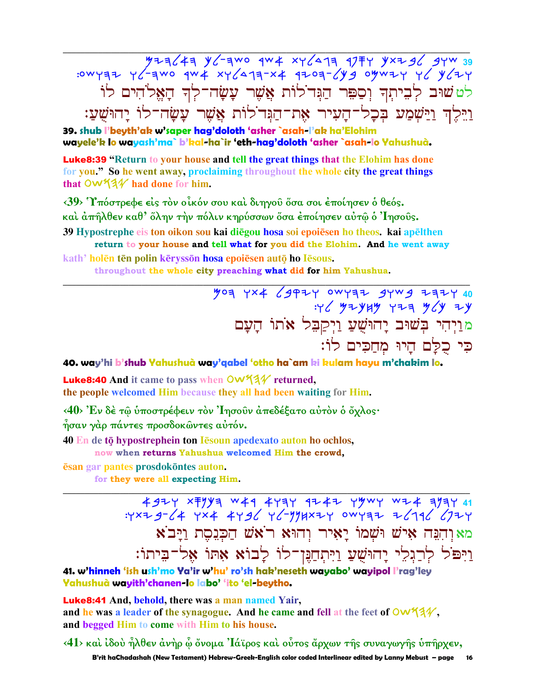33 WYZ JETP FTA Y/-4WO OWF-JY FTA JETY<br>Y+FJY JY Y+WYO EYJ-FOJP #X-FTAJYX #WP OWF-JY JETYWO: לט שוּב לְבֵיתִךְ וְסַפֵּר הַגָּד<sup>י</sup>לוֹת אֲשֶׁר עַשָׂה־לִךְ הָאֵל<sup>ּ</sup>הִים לוֹ וַיֵּלֵדְ וַיַּשְׁמַע בִּכָל־הַעִיר אֶת־הַגִּד<sup>ִ</sup>לוֹת אֲשֶׁר עָשָׂה־לוֹ יַהוּשָׁעַ:

39. shub l'beyth'ak w'saper hag'doloth 'asher `asah-l'ak ha'Elohim wayele'k lo wayash'ma` b'kal-ha`ir 'eth-hag'doloth 'asher `asah-lo Yahushuà.

**Luke8:39** "Return to your house and tell the great things that the Elohim has done for you." So he went away, proclaiming throughout the whole city the great things that  $\mathsf{OW44}$  had done for him.

<39> Υπόστρεφε είς τον οίκόν σου και διηγού όσα σοι έποίησεν ο θεός.

καὶ ἀπῆλθεν καθ' ὅλην τὴν πόλιν κηρύσσων ὅσα ἐποίησεν αὐτῷ ὁ Ἰησοῦς.

39 Hypostrephe eis ton oikon sou kai diegou hosa soi epoiesen ho theos. kai apelthen return to your house and tell what for you did the Elohim. And he went away

kath' holên tên polin kêryssôn hosa epoiêsen autô ho lêsous. throughout the whole city preaching what did for him Yahushua.

> 407 YX4 (942Y OWYER 9YW9 ZEZY 40  $476$   $4744$   $474$   $464$   $464$   $474$ מוַיְהִי בְּשׁוּב יָהוּשָׁעַ וַיִּקַבִּל אֹתוֹ הַעַם כִּי כִלַּם הַיוּ מִחֲכִים לוֹ:

40. way'hi b'shub Yahushuà way'qabel 'otho ha`am ki kulam hayu m'chakim lo.

Luke8:40 And it came to pass when OW534 returned, the people welcomed Him because they all had been waiting for Him.

<40> Έν δέ τω ύποστρέφειν τον Ίησουν απεδέξατο αυτόν ο όχλος· ησαν γάρ πάντες προσδοκώντες αυτόν.

40 En de tō hypostrephein ton Iēsoun apedexato auton ho ochlos,

now when returns Yahushua welcomed Him the crowd,

esan gar pantes prosdokontes auton.

for they were all expecting Him.

מאוהבה איש ושמו יאיר והוא ראש הכנסת ויבא וַיִּפֹּל לְרַגְלֵי יָהוּשָׁעַ וַיִּתְחַנֵּן־לוֹ לָבוֹא אָתוֹ אָל־בִיתוֹ:

41. w'hinneh 'ish ush'mo Ya'ir w'hu' ro'sh hak'neseth wayabo' wayipol l'rag'ley Yahushuà wavith'chanen-lo labo' 'ito 'el-beytho.

**Luke8:41** And, behold, there was a man named Yair, and he was a leader of the synagogue. And he came and fell at the feet of Ow 13V. and begged Him to come with Him to his house.

 $\langle 41 \rangle$  και ίδου ήλθεν άνηρ ώ όνομα 'Iάϊρος και ούτος άρχων της συναγωγης υπηρχεν,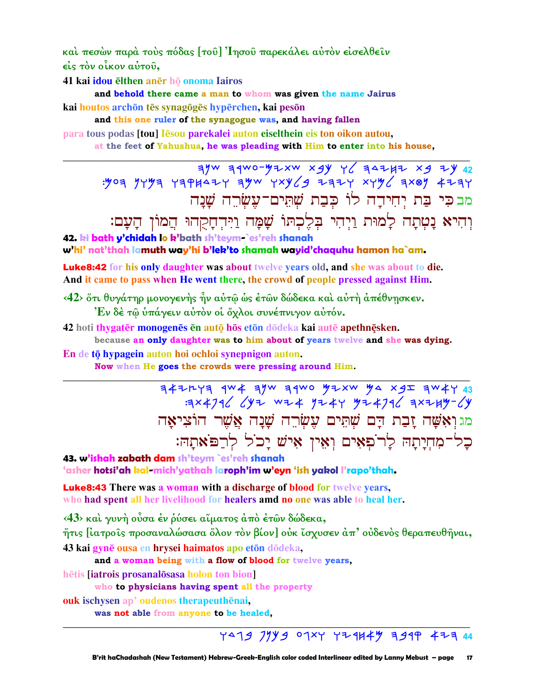καὶ πεσὼν παρὰ τοὺς πόδας [τοῦ] Ἰησοῦ παρεκάλει αὐτὸν εἰσελθεῖν είς τον οίκον αύτου,

41 kai idou ēlthen anēr họ onoma Iairos

and behold there came a man to whom was given the name Jairus

kai houtos archōn tēs synagōgēs hypērchen, kai pesōn

and this one ruler of the synagogue was, and having fallen

para tous podas [tou] Iesou parekalei auton eiselthein eis ton oikon autou,

at the feet of Yahushua, he was pleading with Him to enter into his house,

 $\frac{1}{2}$  of  $\frac{1}{2}$  if  $\frac{1}{2}$  were  $\frac{1}{2}$  were  $\frac{1}{2}$  were  $\frac{1}{2}$  if  $\frac{1}{2}$  if  $\frac{1}{2}$  if  $\frac{1}{2}$  if  $\frac{1}{2}$  if  $\frac{1}{2}$  if  $\frac{1}{2}$  if  $\frac{1}{2}$  if  $\frac{1}{2}$  if  $\frac{1}{2}$  if  $\frac{1}{2}$  if  $\frac{1}{2$ מבכי בַּת יִחִידַה לוֹ כִּבָת שָׁתֵּים־עֵשָׂרֵה שֲׁנַה

וִהִיא נַטְתַה לַמוּת וַיִהִי בִּלֵכְתּוֹ שָׁמָה וַיִּהְחָקָהוּ הֲמוֹן הָעָם:

42. ki bath y'chidah lo k'bath sh'teym-`es'reh shanah

w'hi' nat'thah lamuth way'hi b'lek'to shamah wayid'chaquhu hamon ha`am.

**Luke8:42** for his only daughter was about twelve years old, and she was about to die. And it came to pass when He went there, the crowd of people pressed against Him.

<42> ὅτι θυγάτηρ μονογενής ἦν αὐτῷ ώς ἐτῶν δώδεκα καὶ αὐτή ἀπέθνησκεν. Έν δέ τω υπάγειν αυτόν οι όχλοι συνέπνιγον αυτόν.

42 hoti thygatēr monogenēs en autō hōs etōn dōdeka kai autē apethnēsken.

because an only daughter was to him about of years twelve and she was dying. En de tō hypagein auton hoi ochloi synepnigon auton.

Now when He goes the crowds were pressing around Him.

 $74777$   $4w4$   $7w$   $74w$   $9w$   $97xw$   $94x$   $25$   $7w4$ : 3x 4796 642 w24 9244 424796 3x244-64 מגואָשֶׁה זַבָת דַם שָׁתֵּים עֵשָׂרֶה שַׁנַה אֲשֶׁר הוֹצִיאַה כל־מְחִיַתַה לַרֹפְאִים וְאִין אִישׁ יַכֹל לְרַפֹּאתַהּ:

43. w'ishah zabath dam sh'teym `es'reh shanah 'asher hotsi'ah kal-mich'yathah laroph'im w'eyn 'ish yakol l'rapo'thah.

**Luke8:43** There was a woman with a discharge of blood for twelve years, who had spent all her livelihood for healers amd no one was able to heal her.

<43> καί γυνή ούσα έν ρύσει αίματος άπό έτων δώδεκα,

ήτις [ιατροίς προσαναλώσασα ὄλον τὸν βίον] οὐκ ἴσχυσεν ἀπ' οὐδενὸς θεραπευθῆναι,

43 kai gynē ousa en hrysei haimatos apo etōn dōdeka,

and a woman being with a flow of blood for twelve years,

hētis **liatrois** prosanalosasa holon ton bion

who to physicians having spent all the property

**ouk** ischysen ap' oudenos therapeuthenai.

was not able from anyone to be healed,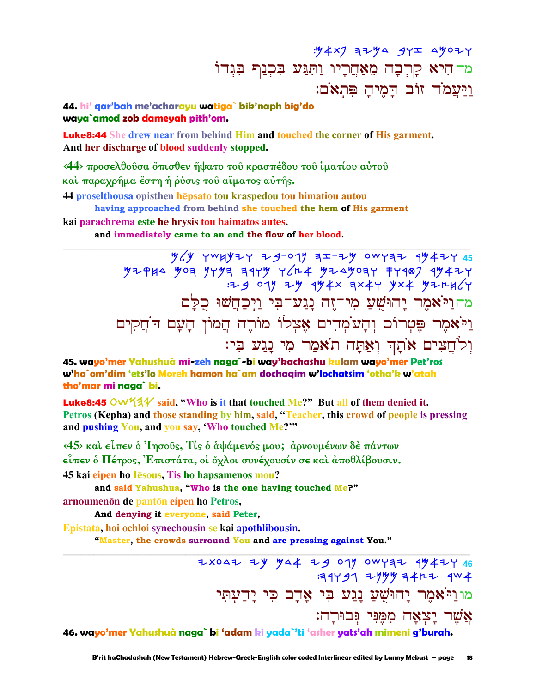## $: 4 \times 7$   $7 + 4$   $9 + 2$   $1 + 4$   $1 + 2$   $1 + 2$   $1 + 2$   $1 + 2$   $1 + 2$   $1 + 2$   $1 + 2$   $1 + 2$   $1 + 2$   $1 + 2$   $1 + 2$   $1 + 2$   $1 + 2$   $1 + 2$   $1 + 2$   $1 + 2$   $1 + 2$   $1 + 2$   $1 + 2$   $1 + 2$   $1 + 2$   $1 + 2$   $1 + 2$   $1 + 2$   $1 + 2$   $1 + 2$   $1 + 2$  מד הִיא קְרְבָה מֵאַחֲרְיו וַתְּגַּע בִּכְנַף בִּגִדוֹ וַיַּעֲמֹד זוֹב דַמֶיהַ פִּתְאֹם:

#### 44, hi' gar'bah me'acharayu watiga` bik'naph big'do waya`amod zob dameyah pith'om.

**Luke8:44** She drew near from behind Him and touched the corner of His garment. And her discharge of blood suddenly stopped.

<44> προσελθούσα όπισθεν ήψατο του κρασπέδου του ίματίου αύτου και παραχρήμα έστη ή ρύσις του αίματος αύτής. 44 proselthousa opisthen hepsato tou kraspedou tou himatiou autou

having approached from behind she touched the hem of His garment

kai parachrēma estē hē hrysis tou haimatos autēs.

and immediately came to an end the flow of her blood.

 $\frac{1}{2}$   $\frac{1}{2}$   $\frac{1}{2}$   $\frac{1}{2}$   $\frac{1}{2}$   $\frac{1}{2}$   $\frac{1}{2}$   $\frac{1}{2}$   $\frac{1}{2}$   $\frac{1}{2}$   $\frac{1}{2}$   $\frac{1}{2}$   $\frac{1}{2}$   $\frac{1}{2}$   $\frac{1}{2}$   $\frac{1}{2}$   $\frac{1}{2}$   $\frac{1}{2}$   $\frac{1}{2}$   $\frac{1}{2}$   $\frac{1}{2}$   $\frac{1}{2}$  מה וַיֹּאמֶר יַחוּשָׁעַ מִי־יָזָה נַגַע־בִּי וַיְכַחֲשׁוּ כִלַּם וַיֹּאמִר פֵּטְרוֹם וְהָעֹמְדִים אֵצְלוֹ מוֹרֵה הֵמוֹן הָעָם דֹחֵקִים וִלֹחֲצִים אֹתַךְ וְאָתָּה תֹאמַר מִי נַגֲע בְי:

45. wavo'mer Yahushuà mi-zeh naga`-bi wav'kachashu kulam wavo'mer Pet'ros w'ha`om'dim 'ets'lo Moreh hamon ha`am dochaqim w'lochatsim 'otha'k w'atah tho'mar mi naga` bi.

**Luke8:45** OW  $4\frac{1}{4}$  said, "Who is it that touched Me?" But all of them denied it. Petros (Kepha) and those standing by him, said, "Teacher, this crowd of people is pressing and pushing You, and you say, 'Who touched Me?"

 $\langle 45 \rangle$  και είπεν ο 'Inσούς, Τίς ο αψάμενός μου; αρνουμένων δε πάντων είπεν ο Πέτρος, Έπιστάτα, οι όγλοι συνέγουσίν σε και αποθλίβουσιν.

45 kai eipen ho Iesous. Tis ho hapsamenos mou?

and said Yahushua, "Who is the one having touched Me?"

arnoumenon de panton eipen ho Petros,

And denying it everyone, said Peter,

Epistata, hoi ochloi synechousin se kai apothlibousin.

"Master, the crowds surround You and are pressing against You."

2x042 ZY MA4 Z9 07 0WYZZ 9M4ZY 46 : 19797 2999 14RZ 9W4 מו וַיֹּאמֶר יַחוּשָׁעַ נַגַע בִּי אַדָם כִּי יַדְעָתָי אֲשֶׁר יַצְאָה מִמְנִי גִּבוּרַה:

46. wayo'mer Yahushuà naga` bi 'adam ki yada`'ti 'asher yats'ah mimeni g'burah.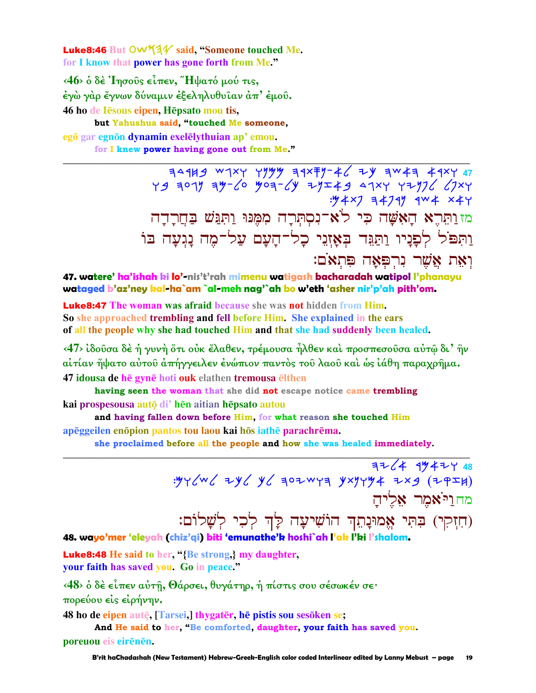Luke8:46 But OW534 said. "Someone touched Me. for I know that power has gone forth from Me."

<46> ο δέ 'Iησούς είπεν, "Ηψατό μού τις, έγὼ γὰρ ἔγνων δύναμιν ἐξεληλυθυῖαν ἀπ' ἐμοῦ. 46 ho de Iesous eipen, Hepsato mou tis, but Yahushua said, "touched Me someone, egō gar egnōn dynamin exelēlythuian ap' emou. for I knew power having gone out from Me."

> : 14 x7 = 4741 4w + x + 4 מז וַתְּרֵא הַאָּשָׁה כִּי לֹא־נִסְתְּרָה מִמְּנּוּ וַתְּנֵּשׁ בַּחֲרָדָה וַתִּפֹּל לְפַנַיו וַתַּגֵּד בְּאָזְנֵי כָל־הַעָם עַל־מֶה נַגִעַה בּוֹ וְאֵת אֲשֶׁר נִרְפִּאָה פִּתְאֹם:

47. watere' ha'ishah ki lo'-nis't'rah mimenu watigash bacharadah watipol l'phanayu wataged b'az'ney kal-ha`am `al-meh nag'`ah bo w'eth 'asher nir'p'ah pith'om.

**Luke8:47** The woman was afraid because she was not hidden from Him. So she approached trembling and fell before Him. She explained in the ears of all the people why she had touched Him and that she had suddenly been healed.

<47> ίδουσα δέ ή γυνή ότι ούκ έλαθεν, τρέμουσα ήλθεν καί προσπεσουσα αύτώ δι' ήν αίτίαν ήψατο αύτου άπήγγειλεν ένώπιον παντός του λαου και ως ιάθη παραχρήμα. 47 idousa de hē gynē hoti ouk elathen tremousa elthen

having seen the woman that she did not escape notice came trembling

kai prospesousa auto di'hen aitian hepsato autou

and having fallen down before Him, for what reason she touched Him

apēggeilen enopion pantos tou laou kai hos iathe parachrema.

she proclaimed before all the people and how she was healed immediately.

 $7724$  99474 48  $\frac{1}{2}y + \frac{1}{2}y - \frac{1}{2}y = \frac{1}{2}y - \frac{1}{2}y - \frac{1}{2}y = \frac{1}{2}y - \frac{1}{2}y = \frac{1}{2}y - \frac{1}{2}y = \frac{1}{2}y - \frac{1}{2}y = \frac{1}{2}y - \frac{1}{2}y = \frac{1}{2}y - \frac{1}{2}y = \frac{1}{2}y - \frac{1}{2}y = \frac{1}{2}y - \frac{1}{2}y = \frac{1}{2}y - \frac{1}{2}y = \frac{1}{2}y - \frac{1}{2}y = \frac{1$ מחולאמר אליה (חִזְקִי) בִּתִּי אֱמוּנָתֵךְ הוֹשִׁיעָה לָךְ לְכִי לְשָׁלוֹם:

48. wayo'mer 'eleyah (chiz'gi) biti 'emunathe'k hoshi`ah l'ak l'ki l'shalom.

**Luke8:48** He said to her, "{Be strong} my daughter, your faith has saved you. Go in peace."

<48> δ δέ είπεν αύτη, Θάρσει, θυγάτηρ, ή πίστις σου σέσωκέν σε·

πορεύου είς είρήνην.

48 ho de eipen autę, [Tarsei,] thygater, he pistis sou sesoken se;

And He said to her, "Be comforted, daughter, your faith has saved you.

poreuou eis eirēnēn.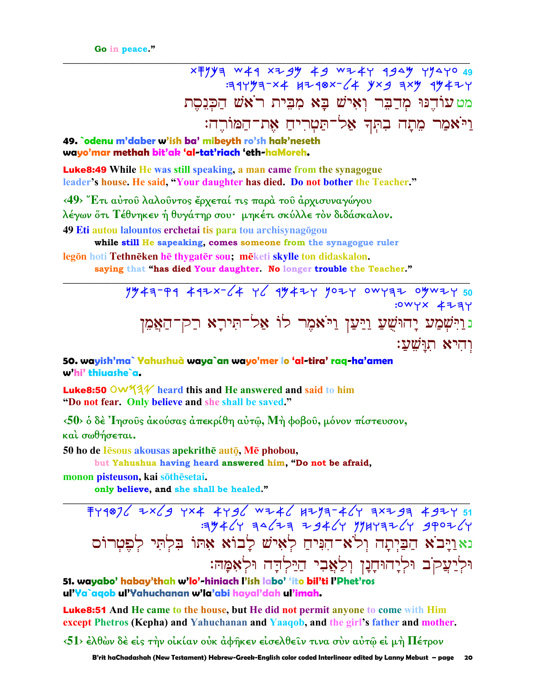$7344497-x4$   $4748x-(4)$   $4 \times 9$   $7 \times 9$   $4 \times 4$ מט עוֹדֵנּוּ מִדַבֵּר וְאִישׁ בַא מִבִּית רֹאשׁ הַכִּנְסֵת וַיֹּאמַר מֵתַה בְתִּךְ אֲלֹ־תַּטְרִיחַ אֶת־הַמּוֹרֵה:

49. odenu m'daber w'ish ba' mibeyth ro'sh hak'neseth wayo'mar methah bit'ak 'al-tat'riach 'eth-haMoreh.

**Luke8:49** While He was still speaking, a man came from the synagogue leader's house. He said, "Your daughter has died. Do not bother the Teacher."

<49> Έτι αύτου λαλούντος έρχεταί τις παρά του άρχισυναγώγου λέγων ὅτι Τέθνηκεν ἡ θυγάτηρ σου· μηκέτι σκύλλε τὸν διδάσκαλον. 49 Eti autou lalountos erchetai tis para tou archisynagogou

while still He sapeaking, comes someone from the synagogue ruler

legön hoti Tethnēken hē thygatēr sou; mēketi skylle ton didaskalon. saying that "has died Your daughter. No longer trouble the Teacher."

> $19447799$  492x-64 Y6 9942Y 902Y 0WY77 0902Y 50 :0WYX 473Y נוַיִּשְׁמַע יָהוּשֻׁעַ וַיַּעַן וַיֹּאמֶר לוֹ אַל־תִּירָא רַק־הַאֲמֵן וחיא תוּשׁע:

50. wayish'ma` Yahushuà waya`an wayo'mer lo 'al-tira' raq-ha'amen w'hi' thiuashe`a.

**Luke8:50 OW534** heard this and He answered and said to him "Do not fear. Only believe and she shall be saved."

<50> δ δέ 'Iησούς άκούσας άπεκρίθη αύτῶ, Μή φοβού, μόνον πίστευσον, και σωθήσεται.

50 ho de Iesous akousas apekrithe auto, Me phobou,

but Yahushua having heard answered him, "Do not be afraid,

monon pisteuson, kai sōthēsetai.

only believe, and she shall be healed."

FY9016 7x69 YX4 4Y96 WZ46 HZY3-46Y 3xZ93 49ZY51<br>YJ4090 YJ4FYHY YJ46F FFJ4F YJ4KF: נאוַיַּבֹא הַבַּיִתַה וְלֹא־הִנִּיהַ לְאִישׁ לַבוֹא אָתּוֹ בִּלְתִּי לְפֵטְרוֹם וּלְיַעֲקֹב וּלְיָהוּחָנָן וְלַאֲבִי הַיַּלְדָה וּלְאָמָהּ:

51. wayabo' habay'thah w'lo'-hiniach l'ish labo' 'ito bil'ti l'Phet'ros ul'Ya`aqob ul'Yahuchanan w'la'abi hayal'dah ul'imah.

**Luke8:51** And He came to the house, but He did not permit anyone to come with Him except Phetros (Kepha) and Yahuchanan and Yaaqob, and the girl's father and mother.

 $\langle 51 \rangle$  έλθών δέ είς τήν οικίαν ουκ αφήκεν εισελθείν τινα συν αυτώ ει μή Πέτρον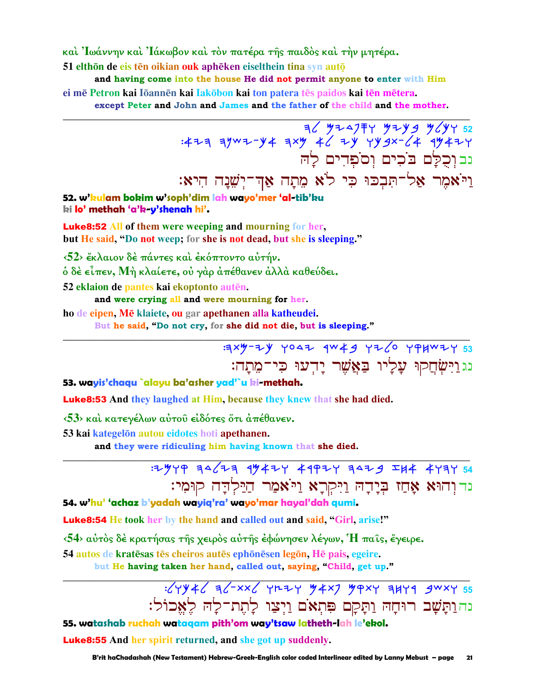καὶ Ἰωάννην καὶ Ἰάκωβον καὶ τὸν πατέρα τῆς παιδὸς καὶ τὴν μητέρα.

51 elthōn de eis tēn oikian ouk aphēken eiselthein tina syn autō

and having come into the house He did not permit anyone to enter with Him ei mē Petron kai Iōannēn kai Iakōbon kai ton patera tēs paidos kai tēn mētera. except Peter and John and James and the father of the child and the mother.

> $36$  4247 + 42444444452 : 423 3ywz-y 4 3xy 46 2y yygx-64 4y 42y נבוכלם בֹכים וסֹפדים לה וַיֹּאמֶר אַל־תִּבְכּוּ כִּי לֹא מֵתָה אַדְ־יְשֵׁנָה הִיא:

52. w'hulam bokim w'soph'dim lah wayo'mer 'al-tib'ku ki lo' methah 'a'k y'shenah hi'.

**Luke8:52 All of them were weeping and mourning for her,** but He said, "Do not weep; for she is not dead, but she is sleeping."

<52> έκλαιον δέ πάντες και έκόπτοντο αύτήν.

ό δὲ εἶπεν, Μὴ κλαίετε, οὐ γὰρ ἀπέθανεν ἀλλὰ καθεύδει.

52 eklaion de pantes kai ekoptonto autēn.

and were crying all and were mourning for her.

ho de eipen, Mē klaiete, ou gar apethanen alla katheudei.

But he said, "Do not cry, for she did not die, but is sleeping."

 $3349 - 79$  your  $4w + 9$  yr/0 yiphwry 33 נגַרַיִּשְׂחֲקוּ עָלְיוּ בַּאֲשֶׁר יָדִעוּ כִּי־מֵתָה:

53. wayis'chaqu `alayu ba'asher yad'`u ki-methah.

**Luke8:53** And they laughed at Him, because they knew that she had died.

<53> και κατεγέλων αύτου είδότες ότι απέθανεν.

53 kai kategelön autou eidotes hoti apethanen.

and they were ridiculing him having known that she died.

### $7.34$   $4\sqrt{7}$   $3.4\sqrt{7}$   $4\sqrt{7}$   $4\sqrt{7}$   $4\sqrt{7}$   $4\sqrt{7}$   $4\sqrt{7}$   $4\sqrt{7}$   $4\sqrt{7}$   $4\sqrt{7}$   $4\sqrt{7}$   $4\sqrt{7}$   $4\sqrt{7}$   $4\sqrt{7}$   $4\sqrt{7}$   $4\sqrt{7}$   $4\sqrt{7}$   $4\sqrt{7}$   $4\sqrt{7}$   $4\sqrt{7}$   $4\sqrt{7}$   $4\sqrt{7}$   $4\sqrt{7}$   $4\sqrt{$ נדוהוא אָחַז בִּיָּדָהּ וַיִּקְרָא וַיֹּאמַר הַיַּלְדָה קוּמִי:

54. w'hu' 'achaz b'yadah wayig'ra' wayo'mar hayal'dah gumi.

Luke8:54 He took her by the hand and called out and said, "Girl, arise!"

 $\langle 54 \rangle$  αύτος δέ κρατήσας της χειρος αύτης έφώνησεν λέγων, Ή παις, έγειρε.

54 autos de kratēsas tēs cheiros autēs ephōnēsen legōn. Hē pais, egeire.

but He having taken her hand, called out, saying, "Child, get up."

### $\frac{1}{2}$   $\sqrt{794}$   $\sqrt{7}$   $\sqrt{7}$   $\sqrt{7}$   $\sqrt{7}$   $\sqrt{7}$   $\sqrt{7}$   $\sqrt{7}$   $\sqrt{7}$   $\sqrt{7}$   $\sqrt{7}$   $\sqrt{7}$   $\sqrt{7}$   $\sqrt{7}$   $\sqrt{7}$   $\sqrt{7}$   $\sqrt{7}$   $\sqrt{7}$   $\sqrt{7}$   $\sqrt{7}$   $\sqrt{7}$   $\sqrt{7}$   $\sqrt{7}$   $\sqrt{7}$   $\sqrt{7}$   $\sqrt{7}$  נה וַתָּשָׁב רוּחָהּ וַתַּקַם פִּתְאֹם וַיִצַו לָתֵת־לַהּ לִאֲכוֹל:

55. watashab ruchah wataqam pith'om way'tsaw latheth-lah le'ekol.

**Luke8:55** And her spirit returned, and she got up suddenly.